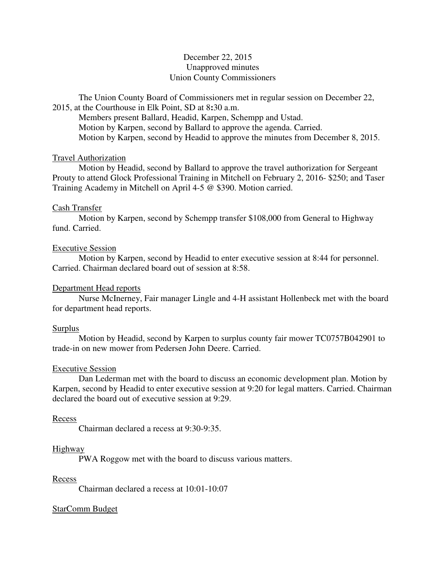# December 22, 2015 Unapproved minutes Union County Commissioners

The Union County Board of Commissioners met in regular session on December 22, 2015, at the Courthouse in Elk Point, SD at 8**:**30 a.m.

 Members present Ballard, Headid, Karpen, Schempp and Ustad. Motion by Karpen, second by Ballard to approve the agenda. Carried. Motion by Karpen, second by Headid to approve the minutes from December 8, 2015.

## Travel Authorization

 Motion by Headid, second by Ballard to approve the travel authorization for Sergeant Prouty to attend Glock Professional Training in Mitchell on February 2, 2016- \$250; and Taser Training Academy in Mitchell on April 4-5 @ \$390. Motion carried.

## Cash Transfer

 Motion by Karpen, second by Schempp transfer \$108,000 from General to Highway fund. Carried.

## Executive Session

 Motion by Karpen, second by Headid to enter executive session at 8:44 for personnel. Carried. Chairman declared board out of session at 8:58.

# Department Head reports

 Nurse McInerney, Fair manager Lingle and 4-H assistant Hollenbeck met with the board for department head reports.

## Surplus

 Motion by Headid, second by Karpen to surplus county fair mower TC0757B042901 to trade-in on new mower from Pedersen John Deere. Carried.

## Executive Session

 Dan Lederman met with the board to discuss an economic development plan. Motion by Karpen, second by Headid to enter executive session at 9:20 for legal matters. Carried. Chairman declared the board out of executive session at 9:29.

## Recess

Chairman declared a recess at 9:30-9:35.

## Highway

PWA Roggow met with the board to discuss various matters.

## Recess

Chairman declared a recess at 10:01-10:07

# StarComm Budget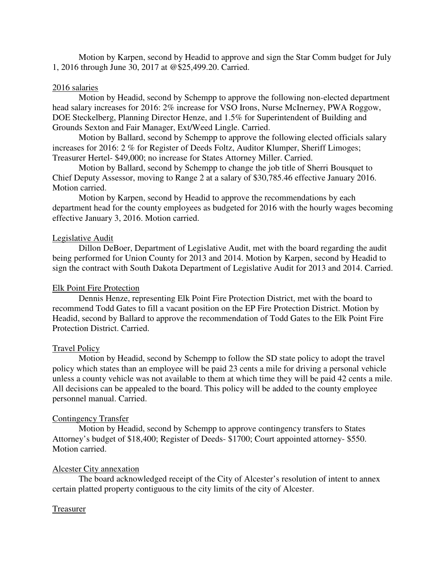Motion by Karpen, second by Headid to approve and sign the Star Comm budget for July 1, 2016 through June 30, 2017 at @\$25,499.20. Carried.

## 2016 salaries

 Motion by Headid, second by Schempp to approve the following non-elected department head salary increases for 2016: 2% increase for VSO Irons, Nurse McInerney, PWA Roggow, DOE Steckelberg, Planning Director Henze, and 1.5% for Superintendent of Building and Grounds Sexton and Fair Manager, Ext/Weed Lingle. Carried.

 Motion by Ballard, second by Schempp to approve the following elected officials salary increases for 2016: 2 % for Register of Deeds Foltz, Auditor Klumper, Sheriff Limoges; Treasurer Hertel- \$49,000; no increase for States Attorney Miller. Carried.

 Motion by Ballard, second by Schempp to change the job title of Sherri Bousquet to Chief Deputy Assessor, moving to Range 2 at a salary of \$30,785.46 effective January 2016. Motion carried.

 Motion by Karpen, second by Headid to approve the recommendations by each department head for the county employees as budgeted for 2016 with the hourly wages becoming effective January 3, 2016. Motion carried.

## Legislative Audit

 Dillon DeBoer, Department of Legislative Audit, met with the board regarding the audit being performed for Union County for 2013 and 2014. Motion by Karpen, second by Headid to sign the contract with South Dakota Department of Legislative Audit for 2013 and 2014. Carried.

## Elk Point Fire Protection

 Dennis Henze, representing Elk Point Fire Protection District, met with the board to recommend Todd Gates to fill a vacant position on the EP Fire Protection District. Motion by Headid, second by Ballard to approve the recommendation of Todd Gates to the Elk Point Fire Protection District. Carried.

# Travel Policy

 Motion by Headid, second by Schempp to follow the SD state policy to adopt the travel policy which states than an employee will be paid 23 cents a mile for driving a personal vehicle unless a county vehicle was not available to them at which time they will be paid 42 cents a mile. All decisions can be appealed to the board. This policy will be added to the county employee personnel manual. Carried.

## Contingency Transfer

 Motion by Headid, second by Schempp to approve contingency transfers to States Attorney's budget of \$18,400; Register of Deeds- \$1700; Court appointed attorney- \$550. Motion carried.

## Alcester City annexation

 The board acknowledged receipt of the City of Alcester's resolution of intent to annex certain platted property contiguous to the city limits of the city of Alcester.

# Treasurer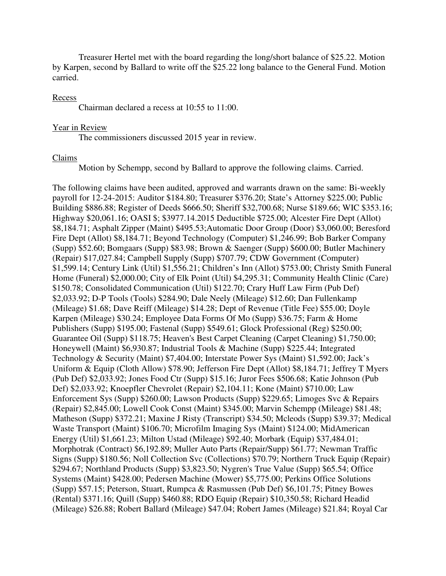Treasurer Hertel met with the board regarding the long/short balance of \$25.22. Motion by Karpen, second by Ballard to write off the \$25.22 long balance to the General Fund. Motion carried.

#### Recess

Chairman declared a recess at 10:55 to 11:00.

## Year in Review

The commissioners discussed 2015 year in review.

#### Claims

Motion by Schempp, second by Ballard to approve the following claims. Carried.

The following claims have been audited, approved and warrants drawn on the same: Bi-weekly payroll for 12-24-2015: Auditor \$184.80; Treasurer \$376.20; State's Attorney \$225.00; Public Building \$886.88; Register of Deeds \$666.50; Sheriff \$32,700.68; Nurse \$189.66; WIC \$353.16; Highway \$20,061.16; OASI \$; \$3977.14.2015 Deductible \$725.00; Alcester Fire Dept (Allot) \$8,184.71; Asphalt Zipper (Maint) \$495.53;Automatic Door Group (Door) \$3,060.00; Beresford Fire Dept (Allot) \$8,184.71; Beyond Technology (Computer) \$1,246.99; Bob Barker Company (Supp) \$52.60; Bomgaars (Supp) \$83.98; Brown & Saenger (Supp) \$600.00; Butler Machinery (Repair) \$17,027.84; Campbell Supply (Supp) \$707.79; CDW Government (Computer) \$1,599.14; Century Link (Util) \$1,556.21; Children's Inn (Allot) \$753.00; Christy Smith Funeral Home (Funeral) \$2,000.00; City of Elk Point (Util) \$4,295.31; Community Health Clinic (Care) \$150.78; Consolidated Communication (Util) \$122.70; Crary Huff Law Firm (Pub Def) \$2,033.92; D-P Tools (Tools) \$284.90; Dale Neely (Mileage) \$12.60; Dan Fullenkamp (Mileage) \$1.68; Dave Reiff (Mileage) \$14.28; Dept of Revenue (Title Fee) \$55.00; Doyle Karpen (Mileage) \$30.24; Employee Data Forms Of Mo (Supp) \$36.75; Farm & Home Publishers (Supp) \$195.00; Fastenal (Supp) \$549.61; Glock Professional (Reg) \$250.00; Guarantee Oil (Supp) \$118.75; Heaven's Best Carpet Cleaning (Carpet Cleaning) \$1,750.00; Honeywell (Maint) \$6,930.87; Industrial Tools & Machine (Supp) \$225.44; Integrated Technology & Security (Maint) \$7,404.00; Interstate Power Sys (Maint) \$1,592.00; Jack's Uniform & Equip (Cloth Allow) \$78.90; Jefferson Fire Dept (Allot) \$8,184.71; Jeffrey T Myers (Pub Def) \$2,033.92; Jones Food Ctr (Supp) \$15.16; Juror Fees \$506.68; Katie Johnson (Pub Def) \$2,033.92; Knoepfler Chevrolet (Repair) \$2,104.11; Kone (Maint) \$710.00; Law Enforcement Sys (Supp) \$260.00; Lawson Products (Supp) \$229.65; Limoges Svc & Repairs (Repair) \$2,845.00; Lowell Cook Const (Maint) \$345.00; Marvin Schempp (Mileage) \$81.48; Matheson (Supp) \$372.21; Maxine J Risty (Transcript) \$34.50; Mcleods (Supp) \$39.37; Medical Waste Transport (Maint) \$106.70; Microfilm Imaging Sys (Maint) \$124.00; MidAmerican Energy (Util) \$1,661.23; Milton Ustad (Mileage) \$92.40; Morbark (Equip) \$37,484.01; Morphotrak (Contract) \$6,192.89; Muller Auto Parts (Repair/Supp) \$61.77; Newman Traffic Signs (Supp) \$180.56; Noll Collection Svc (Collections) \$70.79; Northern Truck Equip (Repair) \$294.67; Northland Products (Supp) \$3,823.50; Nygren's True Value (Supp) \$65.54; Office Systems (Maint) \$428.00; Pedersen Machine (Mower) \$5,775.00; Perkins Office Solutions (Supp) \$57.15; Peterson, Stuart, Rumpca & Rasmussen (Pub Def) \$6,101.75; Pitney Bowes (Rental) \$371.16; Quill (Supp) \$460.88; RDO Equip (Repair) \$10,350.58; Richard Headid (Mileage) \$26.88; Robert Ballard (Mileage) \$47.04; Robert James (Mileage) \$21.84; Royal Car